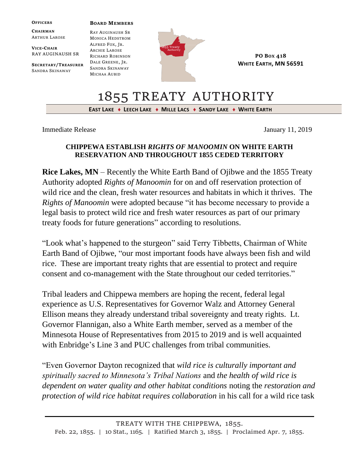## **OFFICERS**

**CHAIRMAN** ARTHUR LAROSE

**VICE-CHAIR** RAY AUGINAUSH SR

**SECRETARY/TREASURER** DALE GREENE, JR. SANDRA SKINAWAY

RAY AUGINAUSH SR MONICA HEDSTROM ALFRED FOX, JR. ARCHIE LAROSE RICHARD ROBINSON SANDRA SKINAWAY

MICHAA AUBID

**BOARD MEMBERS**



**PO BOX 418 WHITE EARTH, MN 56591**

## 1855 TREATY AUTHORITY

**EAST LAKE** ♦ **LEECH LAKE** ♦ **MILLE LACS** ♦ **SANDY LAKE** ♦ **WHITE EARTH**

Immediate Release January 11, 2019

## **CHIPPEWA ESTABLISH** *RIGHTS OF MANOOMIN* **ON WHITE EARTH RESERVATION AND THROUGHOUT 1855 CEDED TERRITORY**

**Rice Lakes, MN** – Recently the White Earth Band of Ojibwe and the 1855 Treaty Authority adopted *Rights of Manoomin* for on and off reservation protection of wild rice and the clean, fresh water resources and habitats in which it thrives. The *Rights of Manoomin* were adopted because "it has become necessary to provide a legal basis to protect wild rice and fresh water resources as part of our primary treaty foods for future generations" according to resolutions.

"Look what's happened to the sturgeon" said Terry Tibbetts, Chairman of White Earth Band of Ojibwe, "our most important foods have always been fish and wild rice. These are important treaty rights that are essential to protect and require consent and co-management with the State throughout our ceded territories."

Tribal leaders and Chippewa members are hoping the recent, federal legal experience as U.S. Representatives for Governor Walz and Attorney General Ellison means they already understand tribal sovereignty and treaty rights. Lt. Governor Flannigan, also a White Earth member, served as a member of the Minnesota House of Representatives from 2015 to 2019 and is well acquainted with Enbridge's Line 3 and PUC challenges from tribal communities.

"Even Governor Dayton recognized that *wild rice is culturally important and spiritually sacred to Minnesota's Tribal Nations* and *the health of wild rice is dependent on water quality and other habitat conditions* noting the *restoration and protection of wild rice habitat requires collaboration* in his call for a wild rice task